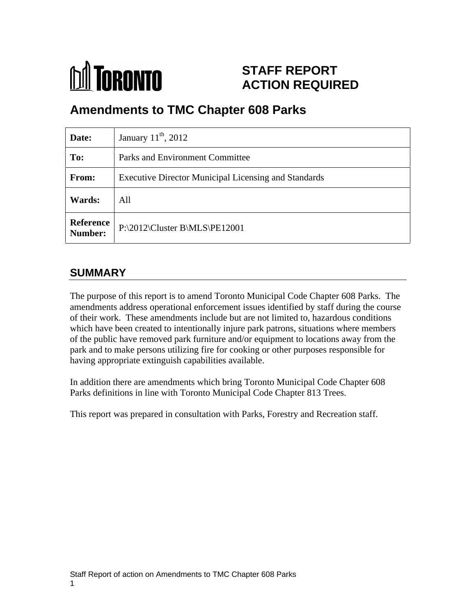

# **STAFF REPORT ACTION REQUIRED**

# **Amendments to TMC Chapter 608 Parks**

| Date:          | January $11^{th}$ , 2012                                    |
|----------------|-------------------------------------------------------------|
| To:            | <b>Parks and Environment Committee</b>                      |
| From:          | <b>Executive Director Municipal Licensing and Standards</b> |
| Wards:         | All                                                         |
| <b>Number:</b> | Reference   P:\2012\Cluster B\MLS\PE12001                   |

# **SUMMARY**

The purpose of this report is to amend Toronto Municipal Code Chapter 608 Parks. The amendments address operational enforcement issues identified by staff during the course of their work. These amendments include but are not limited to, hazardous conditions which have been created to intentionally injure park patrons, situations where members of the public have removed park furniture and/or equipment to locations away from the park and to make persons utilizing fire for cooking or other purposes responsible for having appropriate extinguish capabilities available.

In addition there are amendments which bring Toronto Municipal Code Chapter 608 Parks definitions in line with Toronto Municipal Code Chapter 813 Trees.

This report was prepared in consultation with Parks, Forestry and Recreation staff.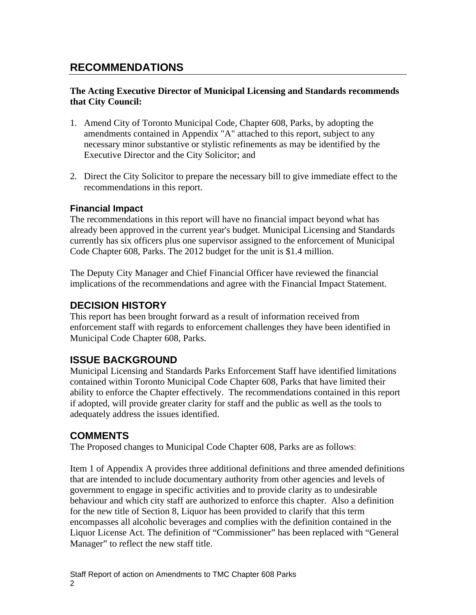# **RECOMMENDATIONS**

#### **The Acting Executive Director of Municipal Licensing and Standards recommends that City Council:**

- 1. Amend City of Toronto Municipal Code, Chapter 608, Parks, by adopting the amendments contained in Appendix "A" attached to this report, subject to any necessary minor substantive or stylistic refinements as may be identified by the Executive Director and the City Solicitor; and
- 2. Direct the City Solicitor to prepare the necessary bill to give immediate effect to the recommendations in this report.

#### **Financial Impact**

The recommendations in this report will have no financial impact beyond what has already been approved in the current year's budget. Municipal Licensing and Standards currently has six officers plus one supervisor assigned to the enforcement of Municipal Code Chapter 608, Parks. The 2012 budget for the unit is \$1.4 million.

The Deputy City Manager and Chief Financial Officer have reviewed the financial implications of the recommendations and agree with the Financial Impact Statement.

#### **DECISION HISTORY**

This report has been brought forward as a result of information received from enforcement staff with regards to enforcement challenges they have been identified in Municipal Code Chapter 608, Parks.

### **ISSUE BACKGROUND**

Municipal Licensing and Standards Parks Enforcement Staff have identified limitations contained within Toronto Municipal Code Chapter 608, Parks that have limited their ability to enforce the Chapter effectively. The recommendations contained in this report if adopted, will provide greater clarity for staff and the public as well as the tools to adequately address the issues identified.

### **COMMENTS**

The Proposed changes to Municipal Code Chapter 608, Parks are as follows:

Item 1 of Appendix A provides three additional definitions and three amended definitions that are intended to include documentary authority from other agencies and levels of government to engage in specific activities and to provide clarity as to undesirable behaviour and which city staff are authorized to enforce this chapter. Also a definition for the new title of Section 8, Liquor has been provided to clarify that this term encompasses all alcoholic beverages and complies with the definition contained in the Liquor License Act. The definition of "Commissioner" has been replaced with "General Manager" to reflect the new staff title.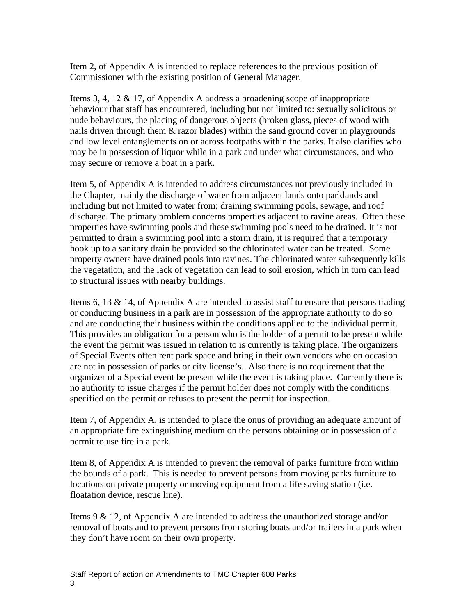Item 2, of Appendix A is intended to replace references to the previous position of Commissioner with the existing position of General Manager.

Items 3, 4, 12 & 17, of Appendix A address a broadening scope of inappropriate behaviour that staff has encountered, including but not limited to: sexually solicitous or nude behaviours, the placing of dangerous objects (broken glass, pieces of wood with nails driven through them & razor blades) within the sand ground cover in playgrounds and low level entanglements on or across footpaths within the parks. It also clarifies who may be in possession of liquor while in a park and under what circumstances, and who may secure or remove a boat in a park.

Item 5, of Appendix A is intended to address circumstances not previously included in the Chapter, mainly the discharge of water from adjacent lands onto parklands and including but not limited to water from; draining swimming pools, sewage, and roof discharge. The primary problem concerns properties adjacent to ravine areas. Often these properties have swimming pools and these swimming pools need to be drained. It is not permitted to drain a swimming pool into a storm drain, it is required that a temporary hook up to a sanitary drain be provided so the chlorinated water can be treated. Some property owners have drained pools into ravines. The chlorinated water subsequently kills the vegetation, and the lack of vegetation can lead to soil erosion, which in turn can lead to structural issues with nearby buildings.

Items 6, 13 & 14, of Appendix A are intended to assist staff to ensure that persons trading or conducting business in a park are in possession of the appropriate authority to do so and are conducting their business within the conditions applied to the individual permit. This provides an obligation for a person who is the holder of a permit to be present while the event the permit was issued in relation to is currently is taking place. The organizers of Special Events often rent park space and bring in their own vendors who on occasion are not in possession of parks or city license's. Also there is no requirement that the organizer of a Special event be present while the event is taking place. Currently there is no authority to issue charges if the permit holder does not comply with the conditions specified on the permit or refuses to present the permit for inspection.

Item 7, of Appendix A, is intended to place the onus of providing an adequate amount of an appropriate fire extinguishing medium on the persons obtaining or in possession of a permit to use fire in a park.

Item 8, of Appendix A is intended to prevent the removal of parks furniture from within the bounds of a park. This is needed to prevent persons from moving parks furniture to locations on private property or moving equipment from a life saving station (i.e. floatation device, rescue line).

Items 9 & 12, of Appendix A are intended to address the unauthorized storage and/or removal of boats and to prevent persons from storing boats and/or trailers in a park when they don't have room on their own property.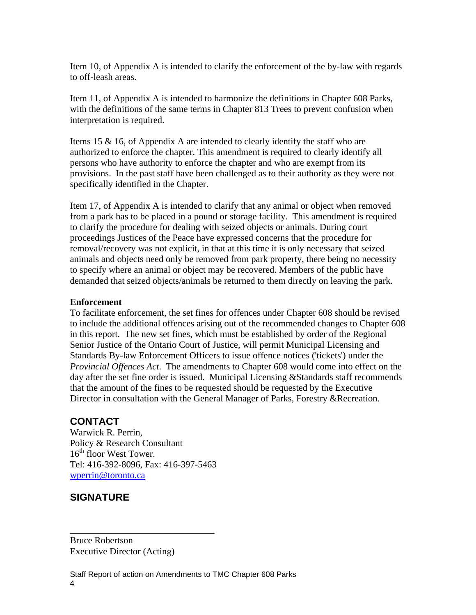Item 10, of Appendix A is intended to clarify the enforcement of the by-law with regards to off-leash areas.<br>Item 11, of Appendix A is intended to harmonize the definitions in Chapter 608 Parks,

with the definitions of the same terms in Chapter 813 Trees to prevent confusion when interpretation is required.

Items 15 & 16, of Appendix A are intended to clearly identify the staff who are authorized to enforce the chapter. This amendment is required to clearly identify all persons who have authority to enforce the chapter and who are exempt from its provisions. In the past staff have been challenged as to their authority as they were not specifically identified in the Chapter.

Item 17, of Appendix A is intended to clarify that any animal or object when removed from a park has to be placed in a pound or storage facility. This amendment is required to clarify the procedure for dealing with seized objects or animals. During court proceedings Justices of the Peace have expressed concerns that the procedure for removal/recovery was not explicit, in that at this time it is only necessary that seized animals and objects need only be removed from park property, there being no necessity to specify where an animal or object may be recovered. Members of the public have demanded that seized objects/animals be returned to them directly on leaving the park.

#### **Enforcement**

To facilitate enforcement, the set fines for offences under Chapter 608 should be revised to include the additional offences arising out of the recommended changes to Chapter 608 in this report. The new set fines, which must be established by order of the Regional Senior Justice of the Ontario Court of Justice, will permit Municipal Licensing and Standards By-law Enforcement Officers to issue offence notices ('tickets') under the *Provincial Offences Act*. The amendments to Chapter 608 would come into effect on the day after the set fine order is issued. Municipal Licensing &Standards staff recommends that the amount of the fines to be requested should be requested by the Executive Director in consultation with the General Manager of Parks, Forestry &Recreation.

 $\overline{\phantom{a}}$  , we can assume that the contract of  $\overline{\phantom{a}}$  , we can assume that the contract of  $\overline{\phantom{a}}$ 

## **CONTACT**

Warwick R. Perrin,<br>Policy & Research Consultant 16<sup>th</sup> floor West Tower. Tel: 416-392-8096, Fax: 416-397-5463 wperrin@toronto.ca and the control of the control of the control of the control of the control of the control of the control of the control of the control of the control of the control of the control of the control of the

## **SIGNATURE**

Bruce Robertson **Bruce** Robertson Executive Director (Acting)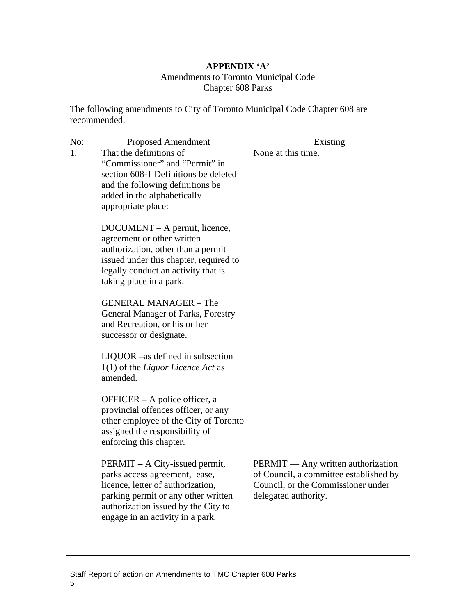# **APPENDIX 'A'**

#### Amendments to Toronto Municipal Code Chapter 608 Parks

The following amendments to City of Toronto Municipal Code Chapter 608 are recommended.

| No: | <b>Proposed Amendment</b>                                                    | Existing                                                                            |
|-----|------------------------------------------------------------------------------|-------------------------------------------------------------------------------------|
|     | That the definitions of                                                      | None at this time.                                                                  |
|     | "Commissioner" and "Permit" in                                               |                                                                                     |
|     | section 608-1 Definitions be deleted                                         |                                                                                     |
|     | and the following definitions be                                             |                                                                                     |
|     | added in the alphabetically                                                  |                                                                                     |
|     | appropriate place:                                                           |                                                                                     |
|     |                                                                              |                                                                                     |
|     | DOCUMENT – A permit, licence,                                                |                                                                                     |
|     | agreement or other written                                                   |                                                                                     |
|     | authorization, other than a permit<br>issued under this chapter, required to |                                                                                     |
|     | legally conduct an activity that is                                          |                                                                                     |
|     | taking place in a park.                                                      |                                                                                     |
|     |                                                                              |                                                                                     |
|     | <b>GENERAL MANAGER - The</b>                                                 |                                                                                     |
|     | General Manager of Parks, Forestry                                           |                                                                                     |
|     | and Recreation, or his or her                                                |                                                                                     |
|     | successor or designate.                                                      |                                                                                     |
|     |                                                                              |                                                                                     |
|     | LIQUOR –as defined in subsection                                             |                                                                                     |
|     | 1(1) of the Liquor Licence Act as                                            |                                                                                     |
|     | amended.                                                                     |                                                                                     |
|     |                                                                              |                                                                                     |
|     | OFFICER – A police officer, a                                                |                                                                                     |
|     | provincial offences officer, or any                                          |                                                                                     |
|     | other employee of the City of Toronto                                        |                                                                                     |
|     | assigned the responsibility of                                               |                                                                                     |
|     | enforcing this chapter.                                                      |                                                                                     |
|     |                                                                              |                                                                                     |
|     | PERMIT – A City-issued permit,                                               | <b>PERMIT</b> — Any written authorization<br>of Council, a committee established by |
|     | parks access agreement, lease,                                               |                                                                                     |
|     | licence, letter of authorization,                                            | Council, or the Commissioner under<br>delegated authority.                          |
|     | parking permit or any other written                                          |                                                                                     |
|     | authorization issued by the City to                                          |                                                                                     |
|     | engage in an activity in a park.                                             |                                                                                     |
|     |                                                                              |                                                                                     |
|     |                                                                              |                                                                                     |
|     |                                                                              |                                                                                     |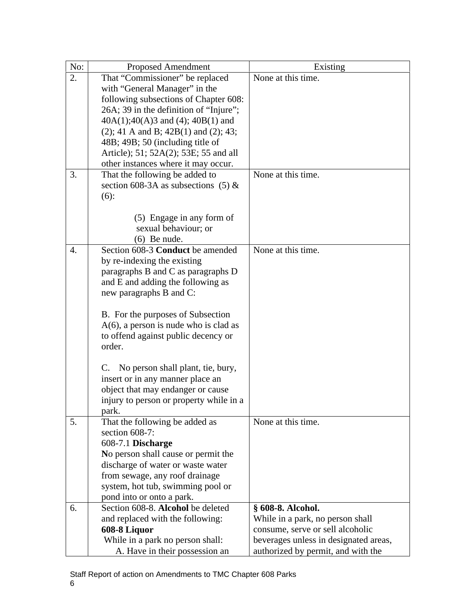| No:              | <b>Proposed Amendment</b>                | Existing                              |
|------------------|------------------------------------------|---------------------------------------|
| $\overline{2}$ . | That "Commissioner" be replaced          | None at this time.                    |
|                  | with "General Manager" in the            |                                       |
|                  | following subsections of Chapter 608:    |                                       |
|                  | 26A; 39 in the definition of "Injure";   |                                       |
|                  | $40A(1);40(A)3$ and (4); $40B(1)$ and    |                                       |
|                  | $(2)$ ; 41 A and B; 42B(1) and (2); 43;  |                                       |
|                  | 48B; 49B; 50 (including title of         |                                       |
|                  | Article); 51; 52A(2); 53E; 55 and all    |                                       |
|                  | other instances where it may occur.      |                                       |
| 3.               | That the following be added to           | None at this time.                    |
|                  |                                          |                                       |
|                  | section 608-3A as subsections (5) $\&$   |                                       |
|                  | $(6)$ :                                  |                                       |
|                  |                                          |                                       |
|                  | (5) Engage in any form of                |                                       |
|                  | sexual behaviour; or                     |                                       |
|                  | $(6)$ Be nude.                           |                                       |
|                  | Section 608-3 Conduct be amended         | None at this time.                    |
|                  | by re-indexing the existing              |                                       |
|                  | paragraphs B and C as paragraphs D       |                                       |
|                  | and E and adding the following as        |                                       |
|                  | new paragraphs B and C:                  |                                       |
|                  |                                          |                                       |
|                  | B. For the purposes of Subsection        |                                       |
|                  | $A(6)$ , a person is nude who is clad as |                                       |
|                  | to offend against public decency or      |                                       |
|                  | order.                                   |                                       |
|                  |                                          |                                       |
|                  | C. No person shall plant, tie, bury,     |                                       |
|                  | insert or in any manner place an         |                                       |
|                  |                                          |                                       |
|                  | object that may endanger or cause        |                                       |
|                  | injury to person or property while in a  |                                       |
|                  | park.                                    |                                       |
| 5.               | That the following be added as           | None at this time.                    |
|                  | section 608-7:                           |                                       |
|                  | 608-7.1 Discharge                        |                                       |
|                  | No person shall cause or permit the      |                                       |
|                  | discharge of water or waste water        |                                       |
|                  | from sewage, any roof drainage           |                                       |
|                  | system, hot tub, swimming pool or        |                                       |
|                  | pond into or onto a park.                |                                       |
| 6.               | Section 608-8. Alcohol be deleted        | § 608-8. Alcohol.                     |
|                  | and replaced with the following:         | While in a park, no person shall      |
|                  | 608-8 Liquor                             | consume, serve or sell alcoholic      |
|                  | While in a park no person shall:         | beverages unless in designated areas, |
|                  | A. Have in their possession an           | authorized by permit, and with the    |
|                  |                                          |                                       |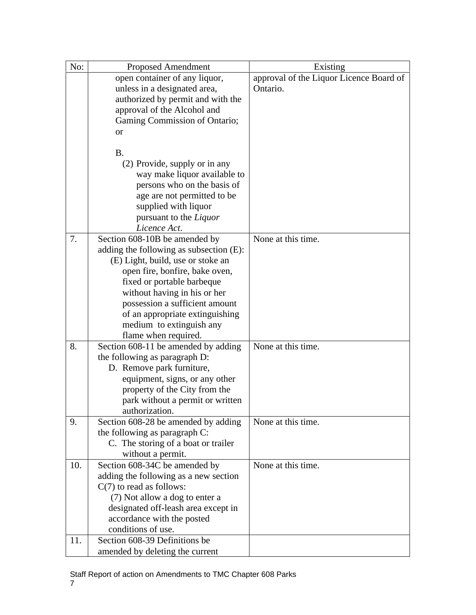| No:         | Proposed Amendment                                 | Existing                                |
|-------------|----------------------------------------------------|-----------------------------------------|
|             | open container of any liquor,                      | approval of the Liquor Licence Board of |
|             | unless in a designated area,                       | Ontario.                                |
|             | authorized by permit and with the                  |                                         |
|             | approval of the Alcohol and                        |                                         |
|             | Gaming Commission of Ontario;                      |                                         |
|             | <sub>or</sub>                                      |                                         |
|             |                                                    |                                         |
|             | <b>B.</b>                                          |                                         |
|             | (2) Provide, supply or in any                      |                                         |
|             | way make liquor available to                       |                                         |
|             | persons who on the basis of                        |                                         |
|             | age are not permitted to be                        |                                         |
|             | supplied with liquor                               |                                         |
|             | pursuant to the Liquor                             |                                         |
|             | Licence Act.                                       |                                         |
| 7.          | Section 608-10B be amended by                      | None at this time.                      |
|             | adding the following as subsection $(E)$ :         |                                         |
|             | (E) Light, build, use or stoke an                  |                                         |
|             | open fire, bonfire, bake oven,                     |                                         |
|             | fixed or portable barbeque                         |                                         |
|             | without having in his or her                       |                                         |
|             | possession a sufficient amount                     |                                         |
|             | of an appropriate extinguishing                    |                                         |
|             | medium to extinguish any                           |                                         |
|             | flame when required.                               |                                         |
| $\vert 8.$  | Section 608-11 be amended by adding                | None at this time.                      |
|             |                                                    |                                         |
|             | the following as paragraph D:                      |                                         |
|             | D. Remove park furniture,                          |                                         |
|             | equipment, signs, or any other                     |                                         |
|             | property of the City from the                      |                                         |
|             | park without a permit or written<br>authorization. |                                         |
| 9.          | Section 608-28 be amended by adding                | None at this time.                      |
|             |                                                    |                                         |
|             | the following as paragraph C:                      |                                         |
|             | C. The storing of a boat or trailer                |                                         |
|             | without a permit.                                  | None at this time.                      |
| $\vert$ 10. | Section 608-34C be amended by                      |                                         |
|             | adding the following as a new section              |                                         |
|             | $C(7)$ to read as follows:                         |                                         |
|             | (7) Not allow a dog to enter a                     |                                         |
|             | designated off-leash area except in                |                                         |
|             | accordance with the posted                         |                                         |
|             | conditions of use.                                 |                                         |
| $11$ .      | Section 608-39 Definitions be                      |                                         |
|             | amended by deleting the current                    |                                         |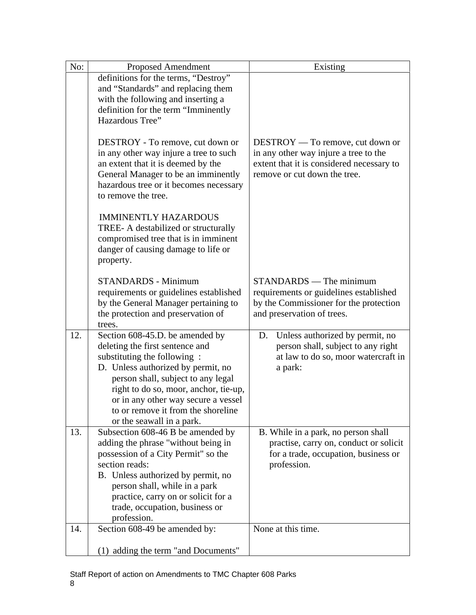| $\overline{N_{0}}$ : | <b>Proposed Amendment</b>                                                   | Existing                                  |
|----------------------|-----------------------------------------------------------------------------|-------------------------------------------|
|                      | definitions for the terms, "Destroy"                                        |                                           |
|                      | and "Standards" and replacing them                                          |                                           |
|                      | with the following and inserting a                                          |                                           |
|                      | definition for the term "Imminently                                         |                                           |
|                      | Hazardous Tree"                                                             |                                           |
|                      |                                                                             |                                           |
|                      | DESTROY - To remove, cut down or                                            | $\vert$ DESTROY — To remove, cut down or  |
|                      | in any other way injure a tree to such                                      | in any other way injure a tree to the     |
|                      | an extent that it is deemed by the                                          | extent that it is considered necessary to |
|                      | General Manager to be an imminently                                         | remove or cut down the tree.              |
|                      | hazardous tree or it becomes necessary<br>to remove the tree.               |                                           |
|                      |                                                                             |                                           |
|                      | <b>IMMINENTLY HAZARDOUS</b>                                                 |                                           |
|                      | TREE- A destabilized or structurally                                        |                                           |
|                      | compromised tree that is in imminent                                        |                                           |
|                      | danger of causing damage to life or                                         |                                           |
|                      | property.                                                                   |                                           |
|                      |                                                                             |                                           |
|                      | STANDARDS - Minimum                                                         | $\vert$ STANDARDS — The minimum           |
|                      | requirements or guidelines established                                      | requirements or guidelines established    |
|                      | by the General Manager pertaining to                                        | by the Commissioner for the protection    |
|                      | the protection and preservation of                                          | and preservation of trees.                |
|                      |                                                                             |                                           |
|                      | Section 608-45.D. be amended by                                             | D. Unless authorized by permit, no        |
|                      | deleting the first sentence and                                             | person shall, subject to any right        |
|                      | substituting the following:                                                 | at law to do so, moor watercraft in       |
|                      | D. Unless authorized by permit, no                                          | a park:                                   |
|                      | person shall, subject to any legal<br>right to do so, moor, anchor, tie-up, |                                           |
|                      | or in any other way secure a vessel                                         |                                           |
|                      | to or remove it from the shoreline                                          |                                           |
|                      | or the seawall in a park.                                                   |                                           |
|                      | Subsection 608-46 B be amended by                                           | B. While in a park, no person shall       |
|                      | adding the phrase "without being in                                         | practise, carry on, conduct or solicit    |
|                      | possession of a City Permit" so the                                         | for a trade, occupation, business or      |
|                      | section reads:                                                              | profession.                               |
|                      | B. Unless authorized by permit, no                                          |                                           |
|                      | person shall, while in a park                                               |                                           |
|                      | practice, carry on or solicit for a                                         |                                           |
|                      | trade, occupation, business or                                              |                                           |
|                      | profession.                                                                 |                                           |
|                      | 14. Section 608-49 be amended by:                                           | None at this time.                        |
|                      |                                                                             |                                           |
|                      | (1) adding the term "and Documents"                                         |                                           |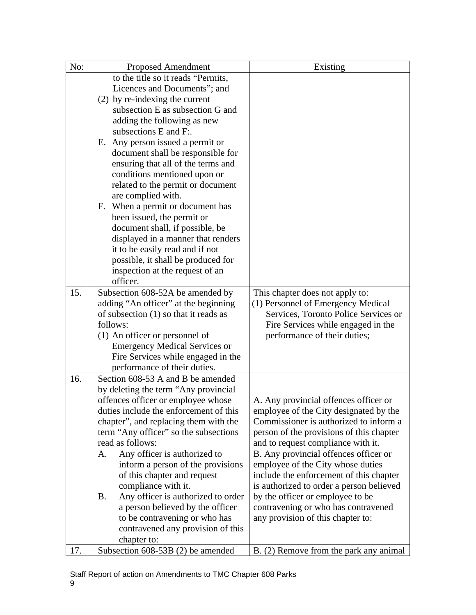| No: | <b>Proposed Amendment</b>                                                                | Existing                                 |
|-----|------------------------------------------------------------------------------------------|------------------------------------------|
|     | to the title so it reads "Permits,                                                       |                                          |
|     | Licences and Documents"; and                                                             |                                          |
|     | (2) by re-indexing the current                                                           |                                          |
|     | subsection E as subsection G and                                                         |                                          |
|     | adding the following as new                                                              |                                          |
|     | subsections E and F:.                                                                    |                                          |
|     | E. Any person issued a permit or                                                         |                                          |
|     | document shall be responsible for                                                        |                                          |
|     | ensuring that all of the terms and                                                       |                                          |
|     | conditions mentioned upon or                                                             |                                          |
|     | related to the permit or document                                                        |                                          |
|     | are complied with.                                                                       |                                          |
|     | F. When a permit or document has                                                         |                                          |
|     | been issued, the permit or                                                               |                                          |
|     | document shall, if possible, be                                                          |                                          |
|     | displayed in a manner that renders                                                       |                                          |
|     | it to be easily read and if not                                                          |                                          |
|     | possible, it shall be produced for                                                       |                                          |
|     | inspection at the request of an                                                          |                                          |
|     | officer.                                                                                 |                                          |
| 15. | Subsection 608-52A be amended by                                                         | This chapter does not apply to:          |
|     | adding "An officer" at the beginning                                                     | (1) Personnel of Emergency Medical       |
|     | of subsection $(1)$ so that it reads as                                                  | Services, Toronto Police Services or     |
|     | follows:                                                                                 | Fire Services while engaged in the       |
|     | (1) An officer or personnel of                                                           | performance of their duties;             |
|     | <b>Emergency Medical Services or</b>                                                     |                                          |
|     | Fire Services while engaged in the                                                       |                                          |
|     | performance of their duties.                                                             |                                          |
| 16. | Section 608-53 A and B be amended                                                        |                                          |
|     | by deleting the term "Any provincial                                                     |                                          |
|     | offences officer or employee whose                                                       | A. Any provincial offences officer or    |
|     | duties include the enforcement of this                                                   | employee of the City designated by the   |
|     | chapter", and replacing them with the                                                    | Commissioner is authorized to inform a   |
|     | term "Any officer" so the subsections                                                    | person of the provisions of this chapter |
|     | read as follows:                                                                         | and to request compliance with it.       |
|     | Any officer is authorized to<br>A.                                                       | B. Any provincial offences officer or    |
|     | inform a person of the provisions                                                        | employee of the City whose duties        |
|     | of this chapter and request                                                              | include the enforcement of this chapter  |
|     | compliance with it.                                                                      | is authorized to order a person believed |
|     | Any officer is authorized to order $\vert$ by the officer or employee to be<br><b>B.</b> |                                          |
|     | a person believed by the officer                                                         | contravening or who has contravened      |
|     | to be contravening or who has                                                            | any provision of this chapter to:        |
|     | contravened any provision of this                                                        |                                          |
|     | chapter to:                                                                              |                                          |
|     | Subsection 608-53B (2) be amended                                                        | B. (2) Remove from the park any animal   |